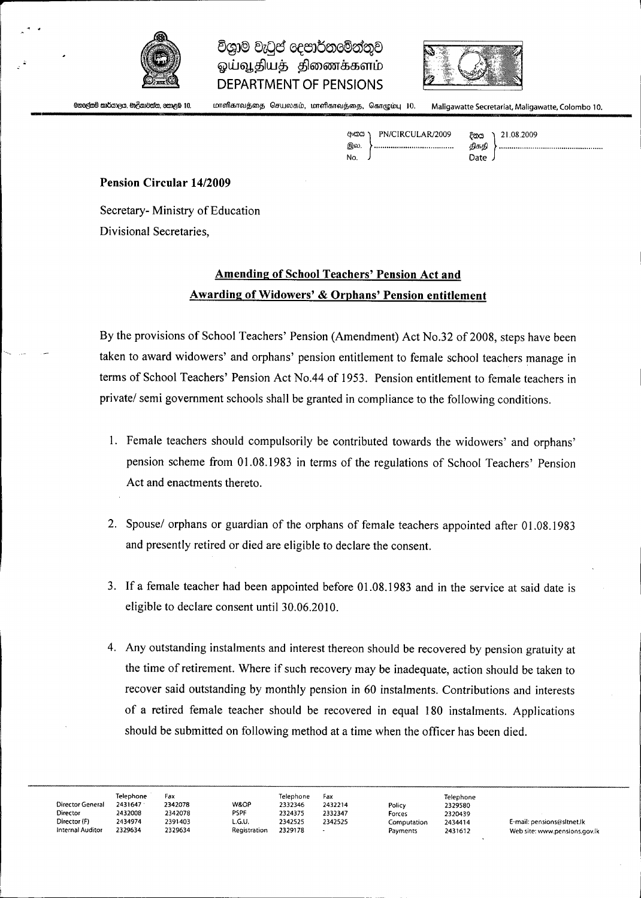

# විශාම වැටප් දෙපාර්තමේන්තව ஓய்வூதியத் திணைக்களம் **DEPARTMENT OF PENSIONS**



.<br>මහලුළුනම් කාර්යාලය, මාලිගාවන්ත, නොළඹ 10

**r**

மாளிகாவத்தை செயலகம், மாளிகாவத்தை, கொழும்பு 10. Maligawatte Secretariat, Maligawatte, Colombo 10.

Axasa PN/CIRCULAR/2009 இல. **No** 

21.08.2009 දිනය திகதி Date

#### **Pension Circular 14/2009**

Secretary- Ministry of Education Divisional Secretaries,

## **Amending of School Teachers' Pension Act and Awarding of Widowers' & Orphans' Pension entitlement**

By the provisions of School Teachers' Pension (Amendment) Act No.32 of 2008, steps have been taken to award widowers' and orphans' pension entitlement to female school teachers manage in terms of School Teachers' Pension Act No.44 of 1953. Pension entitlement to female teachers in private/ semi government schools shall be granted in compliance to the following conditions.

- 1. Female teachers should compulsorily be contributed towards the widowers' and orphans' pension scheme from 01.08.1983 in terms of the regulations of School Teachers' Pension Act and enactments thereto.
- 2. Spouse/ orphans or guardian of the orphans of female teachers appointed after 01.08.1983 and presently retired or died are eligible to declare the consent.
- 3. Ifa female teacher had been appointed before 01.08.1983 and in the service at said date is eligible to declare consent until 30.06.2010.
- 4. Any outstanding instalments and interest thereon should be recovered by pension gratuity at the time of retirement. Where if such recovery may be inadequate, action should be taken to recover said outstanding by monthly pension in 60 instalments. Contributions and interests of a retired female teacher should be recovered in equal 180 instalments. Applications should be submitted on following method at a time when the officer has been died.

|                  | <b>Telephone</b> | Fax     |              | Telephone | Fax     |             | Telephone |                               |
|------------------|------------------|---------|--------------|-----------|---------|-------------|-----------|-------------------------------|
| Director General | 2431647          | 2342078 | W&OP         | 2332346   | 2432214 | Policy      | 2329580   |                               |
| <b>Director</b>  | 2432008          | 2342078 | PSPF         | 2324375   | 2332347 | Forces      | 2320439   |                               |
| Director (F)     | 2434974          | 2391403 | L.G.U.       | 2342525   | 2342525 | Computation | 2434414   | E-mail: pensions@sltnet.lk    |
| Internal Auditor | 2329634          | 2329634 | Registration | 2329178   |         | Payments    | 2431612   | Web site: www.pensions.gov.lk |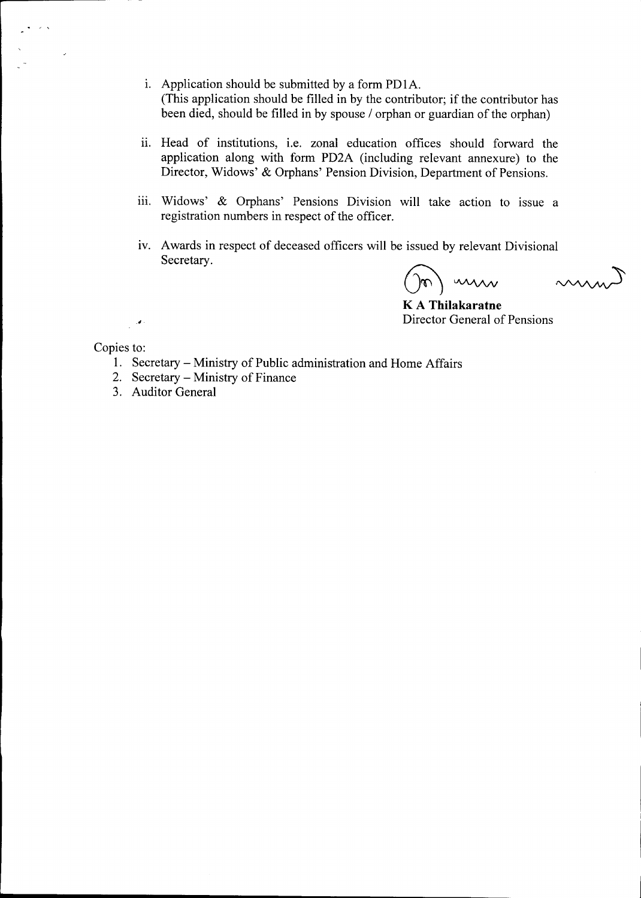- i. Application should be submitted by a form PD1A. (This application should be filled in by the contributor; if the contributor has been died, should be filled in by spouse / orphan or guardian of the orphan)
- ii. Head of institutions, i.e. zonal education offices should forward the application along with form PD2A (including relevant annexure) to the Director, Widows' & Orphans' Pension Division, Department of Pensions.
- iii. Widows' & Orphans' Pensions Division will take action to issue a registration numbers in respect of the officer.
- iv. Awards in respect of deceased officers will be issued by relevant Divisional Secretary.

min

K A **Thilakaratne** Director General of Pensions

 $\sim$ 

Copies to:

 $\mathcal{L}^{\mathcal{A}}$ 

- 1. Secretary Ministry of Public administration and Home Affairs
- 2. Secretary Ministry of Finance
- 3. Auditor General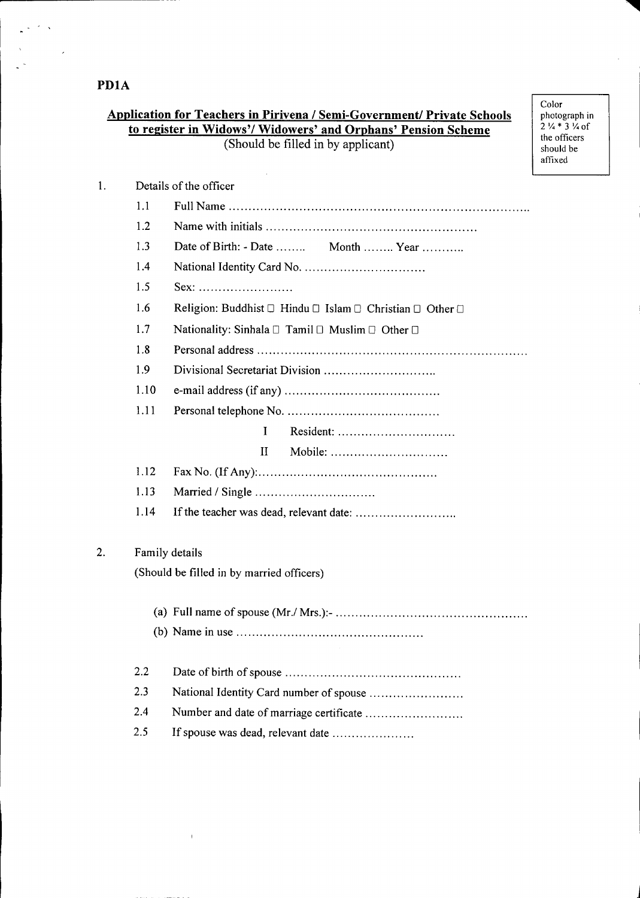**PDIA**

 $\frac{1}{\sqrt{2}}\frac{1}{\sqrt{2}}\frac{1}{\sqrt{2}}\frac{1}{\sqrt{2}}\frac{1}{\sqrt{2}}$ 

 $\mathcal{L}^{\text{max}}$ 

## **Application for Teachers in Pirivena / Semi-Government/ Private Schools to register in Widows'/ Widowers' and Orphans' Pension Scheme** (Should be filled in by applicant)

Color photograph in 2  $\frac{1}{4}$  \* 3  $\frac{1}{4}$  of the officer should be affixed

**"llllIII**

| 1. |                | Details of the officer                                   |
|----|----------------|----------------------------------------------------------|
|    | 1.1            |                                                          |
|    | 1.2            |                                                          |
|    | 1.3            | Date of Birth: - Date  Month  Year                       |
|    | 1.4            |                                                          |
|    | 1.5            | $Sex:$                                                   |
|    | 1.6            | Religion: Buddhist □ Hindu □ Islam □ Christian □ Other □ |
|    | 1.7            | Nationality: Sinhala □ Tamil □ Muslim □ Other □          |
|    | 1.8            |                                                          |
|    | 1.9            |                                                          |
|    | 1.10           |                                                          |
|    | 1.11           |                                                          |
|    |                | $\mathbf{I}$                                             |
|    |                | Mobile:<br>Н                                             |
|    | 1.12           |                                                          |
|    | 1.13           |                                                          |
|    | 1.14           |                                                          |
| 2. | Family details |                                                          |
|    |                | (Should be filled in by married officers)                |
|    |                |                                                          |
|    |                |                                                          |
|    | 2.2            |                                                          |
|    | 2.3            | National Identity Card number of spouse                  |
|    | 2.4            | Number and date of marriage certificate                  |
|    | 2.5            | If spouse was dead, relevant date                        |
|    |                |                                                          |

 $\sim 1$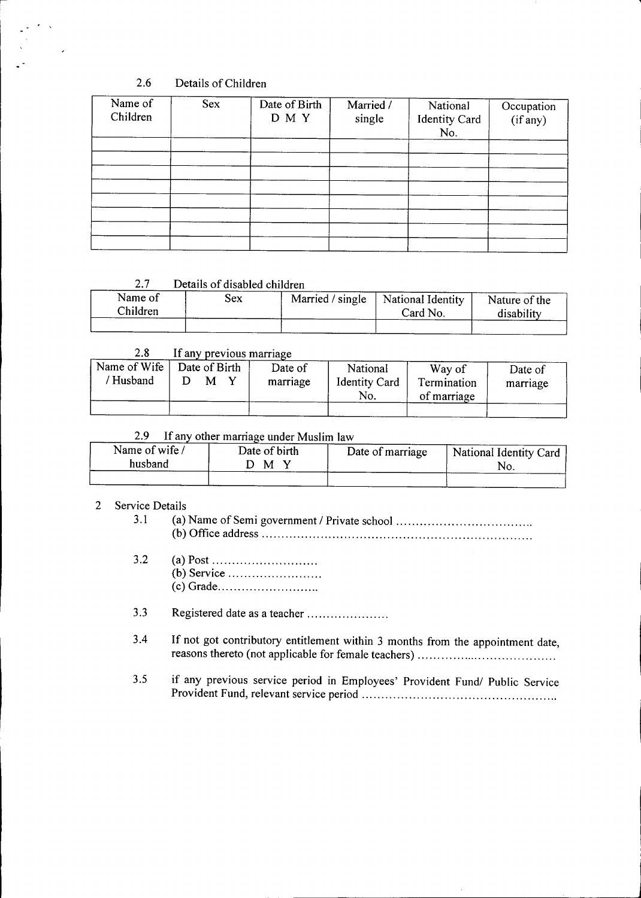## 2.6 Details of Children

 $\overline{\phantom{a}}$ 

| Sex | Date of Birth<br>D M Y | Married /<br>single | National<br><b>Identity Card</b><br>No. | Occupation<br>(if any) |
|-----|------------------------|---------------------|-----------------------------------------|------------------------|
|     |                        |                     |                                         |                        |
|     |                        |                     |                                         |                        |
|     |                        |                     |                                         |                        |
|     |                        |                     |                                         |                        |
|     |                        |                     |                                         |                        |
|     |                        |                     |                                         |                        |
|     |                        |                     |                                         |                        |

#### 2.7 Details of disabled children

| Name of<br>Children | Sex | Married / single   National Identity<br>Card No. | Nature of the |
|---------------------|-----|--------------------------------------------------|---------------|
|                     |     |                                                  | disability    |

### 2.8 If any previous marriage

| Name of Wife<br>'Husband | Date of Birth<br>м | Date of<br>marriage | National<br><b>Identity Card</b><br>No. | Way of<br>Termination<br>of marriage | Date of<br>marriage |
|--------------------------|--------------------|---------------------|-----------------------------------------|--------------------------------------|---------------------|
|                          |                    |                     |                                         |                                      |                     |

### 2.9 If any other marriage under Muslim law

| Name of wife/<br>husband | Date of birth<br>M | Date of marriage | National Identity Card |
|--------------------------|--------------------|------------------|------------------------|
|                          |                    |                  |                        |

### 2 Service Details

3.1 (a) Name of Semi government! Private school . (b) Office address .

3.2 (a) Post . (b) Service . (c) Grade .

3.3 Registered date as a teacher .

- 3.4 If not got contributory entitlement within 3 months from the appointment date, reasons thereto (not applicable for female teachers) .
- 3.5 if any previous service period in Employees' Provident *Fundi* Public Service Provident Fund, relevant service period .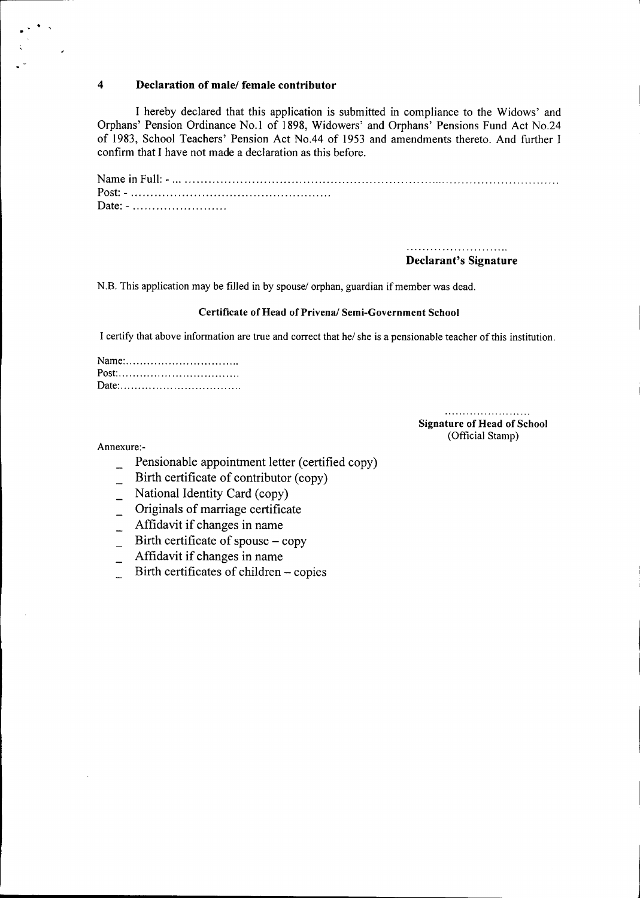#### 4 Declaration of male/ female contributor

I hereby declared that this application is submitted in compliance to the Widows' and Orphans' Pension Ordinance No.1 of 1898, Widowers' and Orphans' Pensions Fund Act NO.24 of 1983, School Teachers' Pension Act No.44 of 1953 and amendments thereto. And further I confirm that I have not made a declaration as this before.

Name in Full: - . Post: - . Date: - .........................

> Declarant's Signature

N.B. This application may be filled in by spouse/ orphan, guardian if member was dead.

#### Certificate of Head of Privena/ Semi-Government School

I certify that above information are true and correct that he/ she is a pensionable teacher of this institution.

Signature of Head of School (Official Stamp)

Annexure:-

. .,

 $\overline{a}$ 

- Pensionable appointment letter (certified copy)
- Birth certificate of contributor (copy)
- National Identity Card (copy)  $\overline{\phantom{a}}$
- Originals of marriage certificate
- Affidavit if changes in name  $\overline{\phantom{a}}$
- Birth certificate of spouse  $-\text{copy}$  $\frac{1}{2}$
- Affidavit if changes in name
- Birth certificates of children copies